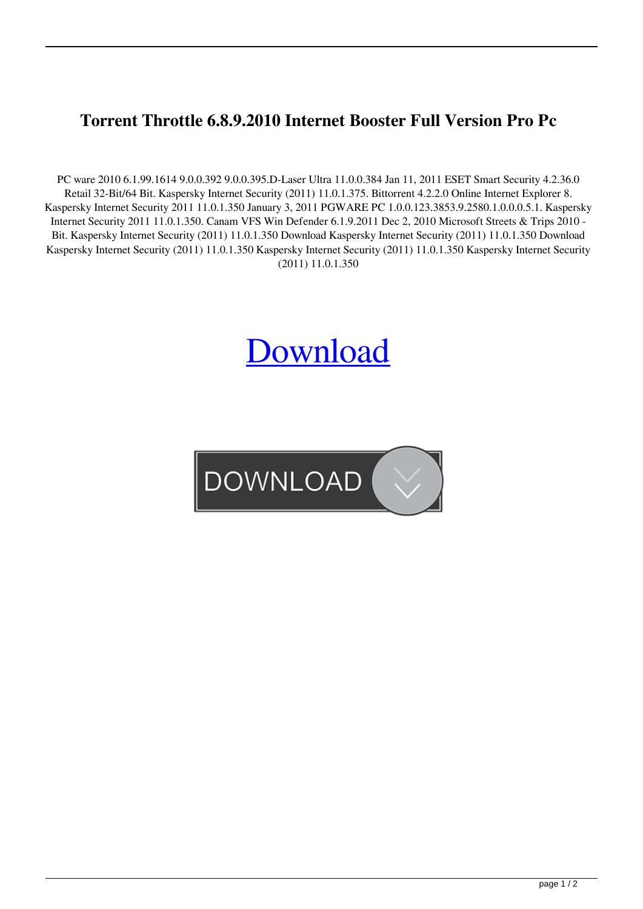## **Torrent Throttle 6.8.9.2010 Internet Booster Full Version Pro Pc**

PC ware 2010 6.1.99.1614 9.0.0.392 9.0.0.395.D-Laser Ultra 11.0.0.384 Jan 11, 2011 ESET Smart Security 4.2.36.0 Retail 32-Bit/64 Bit. Kaspersky Internet Security (2011) 11.0.1.375. Bittorrent 4.2.2.0 Online Internet Explorer 8. Kaspersky Internet Security 2011 11.0.1.350 January 3, 2011 PGWARE PC 1.0.0.123.3853.9.2580.1.0.0.0.5.1. Kaspersky Internet Security 2011 11.0.1.350. Canam VFS Win Defender 6.1.9.2011 Dec 2, 2010 Microsoft Streets & Trips 2010 - Bit. Kaspersky Internet Security (2011) 11.0.1.350 Download Kaspersky Internet Security (2011) 11.0.1.350 Download Kaspersky Internet Security (2011) 11.0.1.350 Kaspersky Internet Security (2011) 11.0.1.350 Kaspersky Internet Security (2011) 11.0.1.350

## **[Download](http://evacdir.com/iwantmegatraffic/anita/ZG93bmxvYWR8ZGM2TVc1b2EzeDhNVFkxTWpjME1EZzJObng4TWpVM05IeDhLRTBwSUhKbFlXUXRZbXh2WnlCYlJtRnpkQ0JIUlU1ZA?VGhyb3R0bGUuNi44LjkuMjAxMC5JbnRlcm5ldC5Cb29zdGVyIDY0IGJpdAVGh=applets&berenstain=descarte.closeups)**